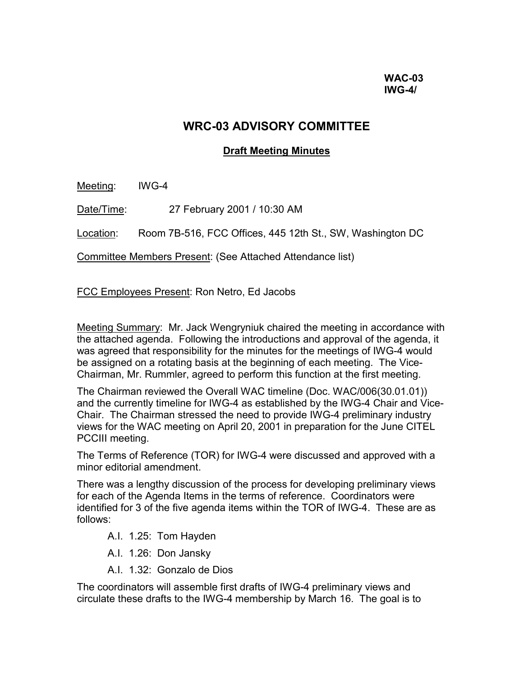# **WRC-03 ADVISORY COMMITTEE**

## **Draft Meeting Minutes**

Meeting: IWG-4

Date/Time: 27 February 2001 / 10:30 AM

Location: Room 7B-516, FCC Offices, 445 12th St., SW, Washington DC

Committee Members Present: (See Attached Attendance list)

FCC Employees Present: Ron Netro, Ed Jacobs

Meeting Summary: Mr. Jack Wengryniuk chaired the meeting in accordance with the attached agenda. Following the introductions and approval of the agenda, it was agreed that responsibility for the minutes for the meetings of IWG-4 would be assigned on a rotating basis at the beginning of each meeting. The Vice-Chairman, Mr. Rummler, agreed to perform this function at the first meeting.

The Chairman reviewed the Overall WAC timeline (Doc. WAC/006(30.01.01)) and the currently timeline for IWG-4 as established by the IWG-4 Chair and Vice-Chair. The Chairman stressed the need to provide IWG-4 preliminary industry views for the WAC meeting on April 20, 2001 in preparation for the June CITEL PCCIII meeting.

The Terms of Reference (TOR) for IWG-4 were discussed and approved with a minor editorial amendment.

There was a lengthy discussion of the process for developing preliminary views for each of the Agenda Items in the terms of reference. Coordinators were identified for 3 of the five agenda items within the TOR of IWG-4. These are as follows:

A.I. 1.25: Tom Hayden

- A.I. 1.26: Don Jansky
- A.I. 1.32: Gonzalo de Dios

The coordinators will assemble first drafts of IWG-4 preliminary views and circulate these drafts to the IWG-4 membership by March 16. The goal is to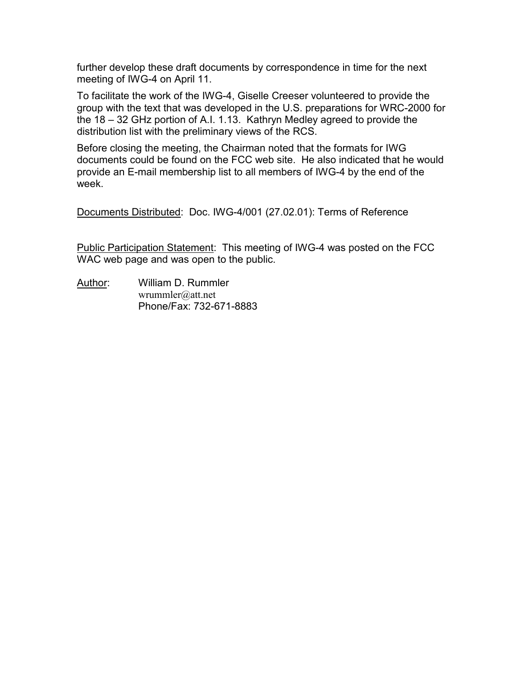further develop these draft documents by correspondence in time for the next meeting of IWG-4 on April 11.

To facilitate the work of the IWG-4, Giselle Creeser volunteered to provide the group with the text that was developed in the U.S. preparations for WRC-2000 for the 18 – 32 GHz portion of A.I. 1.13. Kathryn Medley agreed to provide the distribution list with the preliminary views of the RCS.

Before closing the meeting, the Chairman noted that the formats for IWG documents could be found on the FCC web site. He also indicated that he would provide an E-mail membership list to all members of IWG-4 by the end of the week.

Documents Distributed: Doc. IWG-4/001 (27.02.01): Terms of Reference

Public Participation Statement: This meeting of IWG-4 was posted on the FCC WAC web page and was open to the public.

Author: William D. Rummler wrummler@att.net Phone/Fax: 732-671-8883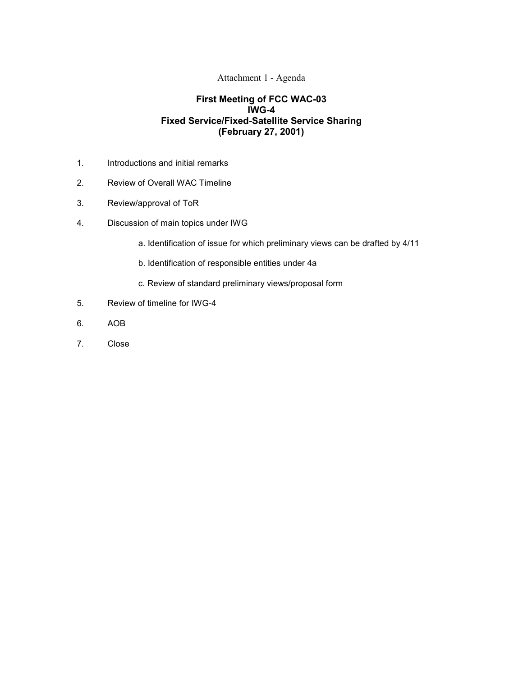#### Attachment 1 - Agenda

### **First Meeting of FCC WAC-03 IWG-4 Fixed Service/Fixed-Satellite Service Sharing (February 27, 2001)**

- 1. Introductions and initial remarks
- 2. Review of Overall WAC Timeline
- 3. Review/approval of ToR
- 4. Discussion of main topics under IWG
	- a. Identification of issue for which preliminary views can be drafted by 4/11
	- b. Identification of responsible entities under 4a
	- c. Review of standard preliminary views/proposal form
- 5. Review of timeline for IWG-4
- 6. AOB
- 7. Close